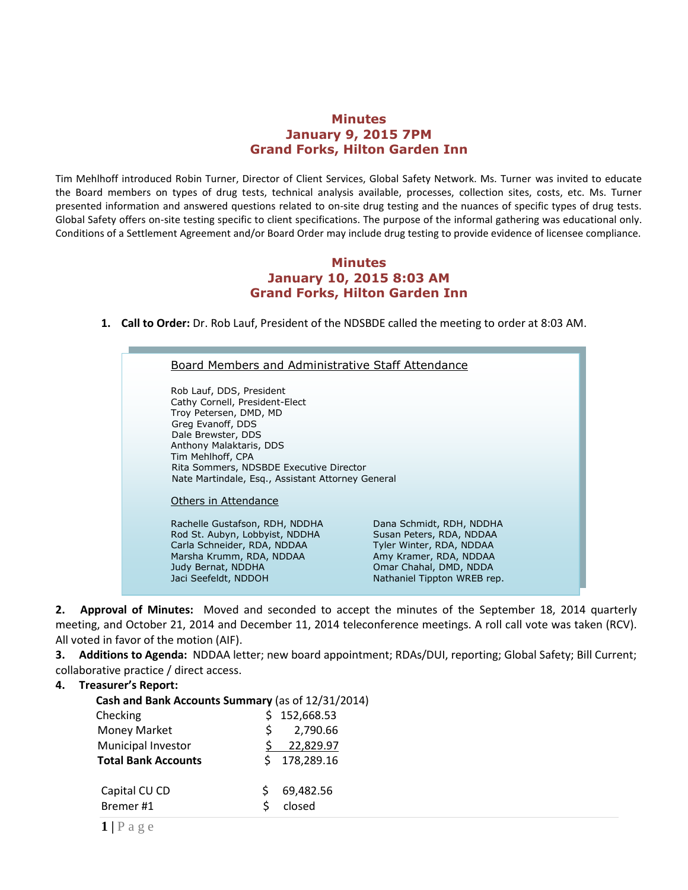## **Minutes January 9, 2015 7PM Grand Forks, Hilton Garden Inn**

Tim Mehlhoff introduced Robin Turner, Director of Client Services, Global Safety Network. Ms. Turner was invited to educate the Board members on types of drug tests, technical analysis available, processes, collection sites, costs, etc. Ms. Turner presented information and answered questions related to on-site drug testing and the nuances of specific types of drug tests. Global Safety offers on-site testing specific to client specifications. The purpose of the informal gathering was educational only. Conditions of a Settlement Agreement and/or Board Order may include drug testing to provide evidence of licensee compliance.

## **Minutes January 10, 2015 8:03 AM Grand Forks, Hilton Garden Inn**

**1. Call to Order:** Dr. Rob Lauf, President of the NDSBDE called the meeting to order at 8:03 AM.

# Board Members and Administrative Staff Attendance

Rob Lauf, DDS, President Cathy Cornell, President-Elect Troy Petersen, DMD, MD Greg Evanoff, DDS Dale Brewster, DDS Anthony Malaktaris, DDS Tim Mehlhoff, CPA Rita Sommers, NDSBDE Executive Director Nate Martindale, Esq., Assistant Attorney General

#### Others in Attendance

Rachelle Gustafson, RDH, NDDHA Dana Schmidt, RDH, NDDHA Rod St. Aubyn, Lobbyist, NDDHA Susan Peters, RDA, NDDAA Carla Schneider, RDA, NDDAA Tyler Winter, RDA, NDDAA Marsha Krumm, RDA, NDDAA Amy Kramer, RDA, NDDAA Judy Bernat, NDDHA Omar Chahal, DMD, NDDA Jaci Seefeldt, NDDOH Nathaniel Tippton WREB rep.

**2. Approval of Minutes:** Moved and seconded to accept the minutes of the September 18, 2014 quarterly meeting, and October 21, 2014 and December 11, 2014 teleconference meetings. A roll call vote was taken (RCV). All voted in favor of the motion (AIF).

**3. Additions to Agenda:** NDDAA letter; new board appointment; RDAs/DUI, reporting; Global Safety; Bill Current; collaborative practice / direct access.

## **4. Treasurer's Report:**

| Cash and Bank Accounts Summary (as of 12/31/2014) |  |  |  |  |
|---------------------------------------------------|--|--|--|--|
| 152,668.53                                        |  |  |  |  |
| 2,790.66                                          |  |  |  |  |
| 22,829.97                                         |  |  |  |  |
| 178,289.16                                        |  |  |  |  |
| 69,482.56<br>closed                               |  |  |  |  |
|                                                   |  |  |  |  |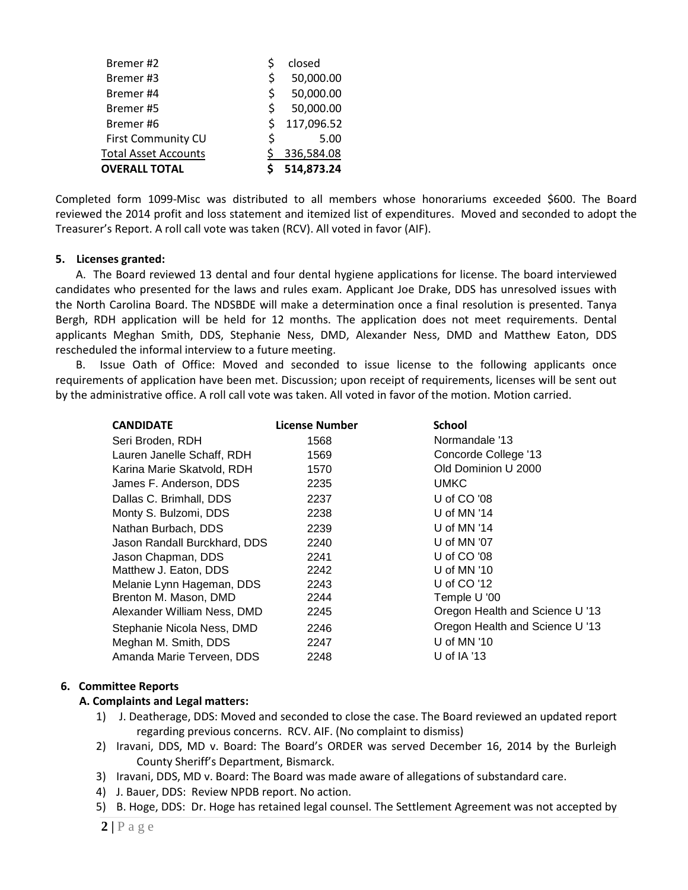| <b>OVERALL TOTAL</b>        |     | 514,873.24 |
|-----------------------------|-----|------------|
| <b>Total Asset Accounts</b> |     | 336,584.08 |
| <b>First Community CU</b>   | Ś   | 5.00       |
| Bremer#6                    | \$  | 117,096.52 |
| Bremer#5                    | Ś   | 50,000.00  |
| Bremer#4                    | \$. | 50,000.00  |
| Bremer#3                    | Ś   | 50,000.00  |
| Bremer#2                    |     | closed     |

Completed form 1099-Misc was distributed to all members whose honorariums exceeded \$600. The Board reviewed the 2014 profit and loss statement and itemized list of expenditures. Moved and seconded to adopt the Treasurer's Report. A roll call vote was taken (RCV). All voted in favor (AIF).

#### **5. Licenses granted:**

A. The Board reviewed 13 dental and four dental hygiene applications for license. The board interviewed candidates who presented for the laws and rules exam. Applicant Joe Drake, DDS has unresolved issues with the North Carolina Board. The NDSBDE will make a determination once a final resolution is presented. Tanya Bergh, RDH application will be held for 12 months. The application does not meet requirements. Dental applicants Meghan Smith, DDS, Stephanie Ness, DMD, Alexander Ness, DMD and Matthew Eaton, DDS rescheduled the informal interview to a future meeting.

B. Issue Oath of Office: Moved and seconded to issue license to the following applicants once requirements of application have been met. Discussion; upon receipt of requirements, licenses will be sent out by the administrative office. A roll call vote was taken. All voted in favor of the motion. Motion carried.

| <b>CANDIDATE</b>             | <b>License Number</b> | <b>School</b>                   |
|------------------------------|-----------------------|---------------------------------|
| Seri Broden, RDH             | 1568                  | Normandale '13                  |
| Lauren Janelle Schaff, RDH   | 1569                  | Concorde College '13            |
| Karina Marie Skatvold, RDH   | 1570                  | Old Dominion U 2000             |
| James F. Anderson, DDS       | 2235                  | <b>UMKC</b>                     |
| Dallas C. Brimhall, DDS      | 2237                  | U of CO '08                     |
| Monty S. Bulzomi, DDS        | 2238                  | U of MN $'14$                   |
| Nathan Burbach, DDS          | 2239                  | U of MN '14                     |
| Jason Randall Burckhard, DDS | 2240                  | U of MN '07                     |
| Jason Chapman, DDS           | 2241                  | U of CO '08                     |
| Matthew J. Eaton, DDS        | 2242                  | U of MN '10                     |
| Melanie Lynn Hageman, DDS    | 2243                  | U of CO '12                     |
| Brenton M. Mason, DMD        | 2244                  | Temple U '00                    |
| Alexander William Ness, DMD  | 2245                  | Oregon Health and Science U '13 |
| Stephanie Nicola Ness, DMD   | 2246                  | Oregon Health and Science U '13 |
| Meghan M. Smith, DDS         | 2247                  | U of MN $'10$                   |
| Amanda Marie Terveen, DDS    | 2248                  | U of $IA$ '13                   |
|                              |                       |                                 |

#### **6. Committee Reports**

## **A. Complaints and Legal matters:**

- 1) J. Deatherage, DDS: Moved and seconded to close the case. The Board reviewed an updated report regarding previous concerns. RCV. AIF. (No complaint to dismiss)
- 2) Iravani, DDS, MD v. Board: The Board's ORDER was served December 16, 2014 by the Burleigh County Sheriff's Department, Bismarck.
- 3) Iravani, DDS, MD v. Board: The Board was made aware of allegations of substandard care.
- 4) J. Bauer, DDS: Review NPDB report. No action.
- 5) B. Hoge, DDS: Dr. Hoge has retained legal counsel. The Settlement Agreement was not accepted by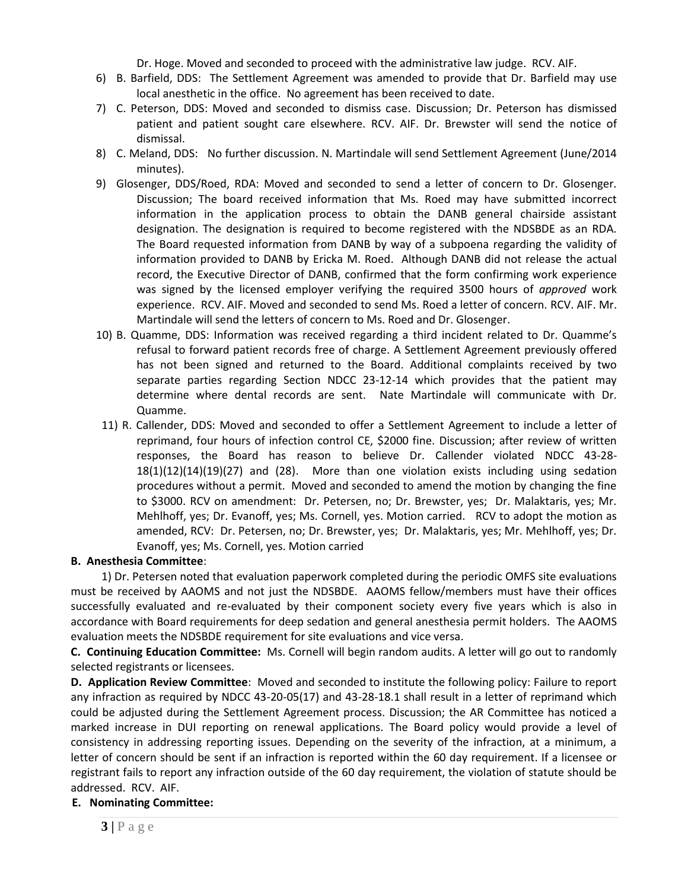Dr. Hoge. Moved and seconded to proceed with the administrative law judge. RCV. AIF.

- 6) B. Barfield, DDS: The Settlement Agreement was amended to provide that Dr. Barfield may use local anesthetic in the office. No agreement has been received to date.
- 7) C. Peterson, DDS: Moved and seconded to dismiss case. Discussion; Dr. Peterson has dismissed patient and patient sought care elsewhere. RCV. AIF. Dr. Brewster will send the notice of dismissal.
- 8) C. Meland, DDS: No further discussion. N. Martindale will send Settlement Agreement (June/2014 minutes).
- 9) Glosenger, DDS/Roed, RDA: Moved and seconded to send a letter of concern to Dr. Glosenger. Discussion; The board received information that Ms. Roed may have submitted incorrect information in the application process to obtain the DANB general chairside assistant designation. The designation is required to become registered with the NDSBDE as an RDA. The Board requested information from DANB by way of a subpoena regarding the validity of information provided to DANB by Ericka M. Roed. Although DANB did not release the actual record, the Executive Director of DANB, confirmed that the form confirming work experience was signed by the licensed employer verifying the required 3500 hours of *approved* work experience. RCV. AIF. Moved and seconded to send Ms. Roed a letter of concern. RCV. AIF. Mr. Martindale will send the letters of concern to Ms. Roed and Dr. Glosenger.
- 10) B. Quamme, DDS: Information was received regarding a third incident related to Dr. Quamme's refusal to forward patient records free of charge. A Settlement Agreement previously offered has not been signed and returned to the Board. Additional complaints received by two separate parties regarding Section NDCC 23-12-14 which provides that the patient may determine where dental records are sent. Nate Martindale will communicate with Dr. Quamme.
- 11) R. Callender, DDS: Moved and seconded to offer a Settlement Agreement to include a letter of reprimand, four hours of infection control CE, \$2000 fine. Discussion; after review of written responses, the Board has reason to believe Dr. Callender violated NDCC 43-28- 18(1)(12)(14)(19)(27) and (28). More than one violation exists including using sedation procedures without a permit. Moved and seconded to amend the motion by changing the fine to \$3000. RCV on amendment: Dr. Petersen, no; Dr. Brewster, yes; Dr. Malaktaris, yes; Mr. Mehlhoff, yes; Dr. Evanoff, yes; Ms. Cornell, yes. Motion carried. RCV to adopt the motion as amended, RCV: Dr. Petersen, no; Dr. Brewster, yes; Dr. Malaktaris, yes; Mr. Mehlhoff, yes; Dr. Evanoff, yes; Ms. Cornell, yes. Motion carried

## **B. Anesthesia Committee**:

 1) Dr. Petersen noted that evaluation paperwork completed during the periodic OMFS site evaluations must be received by AAOMS and not just the NDSBDE. AAOMS fellow/members must have their offices successfully evaluated and re-evaluated by their component society every five years which is also in accordance with Board requirements for deep sedation and general anesthesia permit holders. The AAOMS evaluation meets the NDSBDE requirement for site evaluations and vice versa.

**C. Continuing Education Committee:** Ms. Cornell will begin random audits. A letter will go out to randomly selected registrants or licensees.

**D. Application Review Committee**: Moved and seconded to institute the following policy: Failure to report any infraction as required by NDCC 43-20-05(17) and 43-28-18.1 shall result in a letter of reprimand which could be adjusted during the Settlement Agreement process. Discussion; the AR Committee has noticed a marked increase in DUI reporting on renewal applications. The Board policy would provide a level of consistency in addressing reporting issues. Depending on the severity of the infraction, at a minimum, a letter of concern should be sent if an infraction is reported within the 60 day requirement. If a licensee or registrant fails to report any infraction outside of the 60 day requirement, the violation of statute should be addressed. RCV. AIF.

## **E. Nominating Committee:**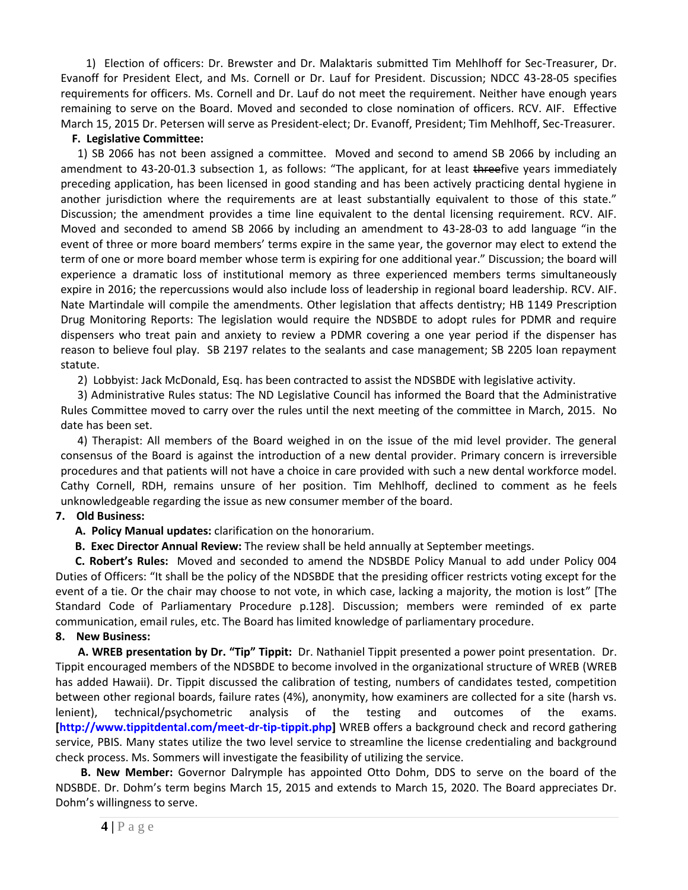1) Election of officers: Dr. Brewster and Dr. Malaktaris submitted Tim Mehlhoff for Sec-Treasurer, Dr. Evanoff for President Elect, and Ms. Cornell or Dr. Lauf for President. Discussion; NDCC 43-28-05 specifies requirements for officers. Ms. Cornell and Dr. Lauf do not meet the requirement. Neither have enough years remaining to serve on the Board. Moved and seconded to close nomination of officers. RCV. AIF. Effective March 15, 2015 Dr. Petersen will serve as President-elect; Dr. Evanoff, President; Tim Mehlhoff, Sec-Treasurer.

## **F. Legislative Committee:**

 1) SB 2066 has not been assigned a committee. Moved and second to amend SB 2066 by including an amendment to 43-20-01.3 subsection 1, as follows: "The applicant, for at least threefive years immediately preceding application, has been licensed in good standing and has been actively practicing dental hygiene in another jurisdiction where the requirements are at least substantially equivalent to those of this state." Discussion; the amendment provides a time line equivalent to the dental licensing requirement. RCV. AIF. Moved and seconded to amend SB 2066 by including an amendment to 43-28-03 to add language "in the event of three or more board members' terms expire in the same year, the governor may elect to extend the term of one or more board member whose term is expiring for one additional year." Discussion; the board will experience a dramatic loss of institutional memory as three experienced members terms simultaneously expire in 2016; the repercussions would also include loss of leadership in regional board leadership. RCV. AIF. Nate Martindale will compile the amendments. Other legislation that affects dentistry; HB 1149 Prescription Drug Monitoring Reports: The legislation would require the NDSBDE to adopt rules for PDMR and require dispensers who treat pain and anxiety to review a PDMR covering a one year period if the dispenser has reason to believe foul play. SB 2197 relates to the sealants and case management; SB 2205 loan repayment statute.

2) Lobbyist: Jack McDonald, Esq. has been contracted to assist the NDSBDE with legislative activity.

 3) Administrative Rules status: The ND Legislative Council has informed the Board that the Administrative Rules Committee moved to carry over the rules until the next meeting of the committee in March, 2015. No date has been set.

 4) Therapist: All members of the Board weighed in on the issue of the mid level provider. The general consensus of the Board is against the introduction of a new dental provider. Primary concern is irreversible procedures and that patients will not have a choice in care provided with such a new dental workforce model. Cathy Cornell, RDH, remains unsure of her position. Tim Mehlhoff, declined to comment as he feels unknowledgeable regarding the issue as new consumer member of the board.

## **7. Old Business:**

 **A. Policy Manual updates:** clarification on the honorarium.

**B. Exec Director Annual Review:** The review shall be held annually at September meetings.

 **C. Robert's Rules:** Moved and seconded to amend the NDSBDE Policy Manual to add under Policy 004 Duties of Officers: "It shall be the policy of the NDSBDE that the presiding officer restricts voting except for the event of a tie. Or the chair may choose to not vote, in which case, lacking a majority, the motion is lost" [The Standard Code of Parliamentary Procedure p.128]. Discussion; members were reminded of ex parte communication, email rules, etc. The Board has limited knowledge of parliamentary procedure.

## **8. New Business:**

 **A. WREB presentation by Dr. "Tip" Tippit:** Dr. Nathaniel Tippit presented a power point presentation. Dr. Tippit encouraged members of the NDSBDE to become involved in the organizational structure of WREB (WREB has added Hawaii). Dr. Tippit discussed the calibration of testing, numbers of candidates tested, competition between other regional boards, failure rates (4%), anonymity, how examiners are collected for a site (harsh vs. lenient), technical/psychometric analysis of the testing and outcomes of the exams. **[\[http://www.tippitdental.com/meet-dr-tip-tippit.php\]](http://www.tippitdental.com/meet-dr-tip-tippit.php)** WREB offers a background check and record gathering service, PBIS. Many states utilize the two level service to streamline the license credentialing and background check process. Ms. Sommers will investigate the feasibility of utilizing the service.

 **B. New Member:** Governor Dalrymple has appointed Otto Dohm, DDS to serve on the board of the NDSBDE. Dr. Dohm's term begins March 15, 2015 and extends to March 15, 2020. The Board appreciates Dr. Dohm's willingness to serve.